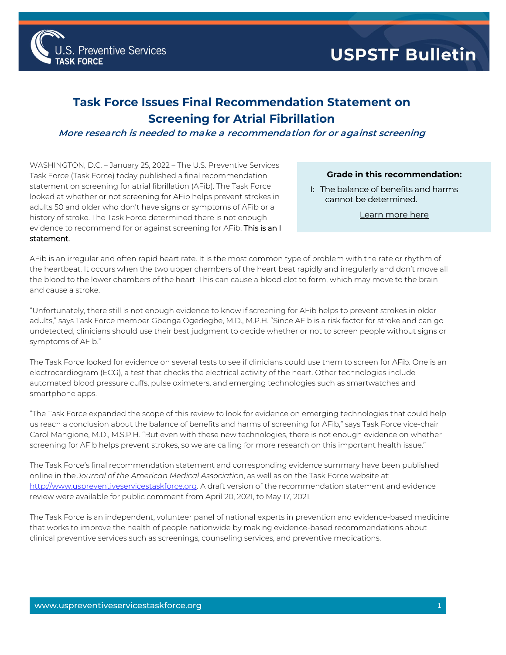

## **Task Force Issues Final Recommendation Statement on Screening for Atrial Fibrillation**

## **More research is needed to make a recommendation for or against screening**

WASHINGTON, D.C. – January 25, 2022 – The U.S. Preventive Services Task Force (Task Force) today published a final recommendation statement on screening for atrial fibrillation (AFib). The Task Force looked at whether or not screening for AFib helps prevent strokes in adults 50 and older who don't have signs or symptoms of AFib or a history of stroke. The Task Force determined there is not enough evidence to recommend for or against screening for AFib. This is an I statement.

## **Grade in this recommendation:**

I: The balance of benefits and harms cannot be determined.

[Learn more here](http://www.uspreventiveservicestaskforce.org/Page/Name/grade-definitions)

AFib is an irregular and often rapid heart rate. It is the most common type of problem with the rate or rhythm of the heartbeat. It occurs when the two upper chambers of the heart beat rapidly and irregularly and don't move all the blood to the lower chambers of the heart. This can cause a blood clot to form, which may move to the brain and cause a stroke.

"Unfortunately, there still is not enough evidence to know if screening for AFib helps to prevent strokes in older adults," says Task Force member Gbenga Ogedegbe, M.D., M.P.H. "Since AFib is a risk factor for stroke and can go undetected, clinicians should use their best judgment to decide whether or not to screen people without signs or symptoms of AFib."

The Task Force looked for evidence on several tests to see if clinicians could use them to screen for AFib. One is an electrocardiogram (ECG), a test that checks the electrical activity of the heart. Other technologies include automated blood pressure cuffs, pulse oximeters, and emerging technologies such as smartwatches and smartphone apps.

"The Task Force expanded the scope of this review to look for evidence on emerging technologies that could help us reach a conclusion about the balance of benefits and harms of screening for AFib," says Task Force vice-chair Carol Mangione, M.D., M.S.P.H. "But even with these new technologies, there is not enough evidence on whether screening for AFib helps prevent strokes, so we are calling for more research on this important health issue."

The Task Force's final recommendation statement and corresponding evidence summary have been published online in the *Journal of the American Medical Association*, as well as on the Task Force website at: [http://www.uspreventiveservicestaskforce.org.](http://www.uspreventiveservicestaskforce.org/) A draft version of the recommendation statement and evidence review were available for public comment from April 20, 2021, to May 17, 2021.

The Task Force is an independent, volunteer panel of national experts in prevention and evidence-based medicine that works to improve the health of people nationwide by making evidence-based recommendations about clinical preventive services such as screenings, counseling services, and preventive medications.